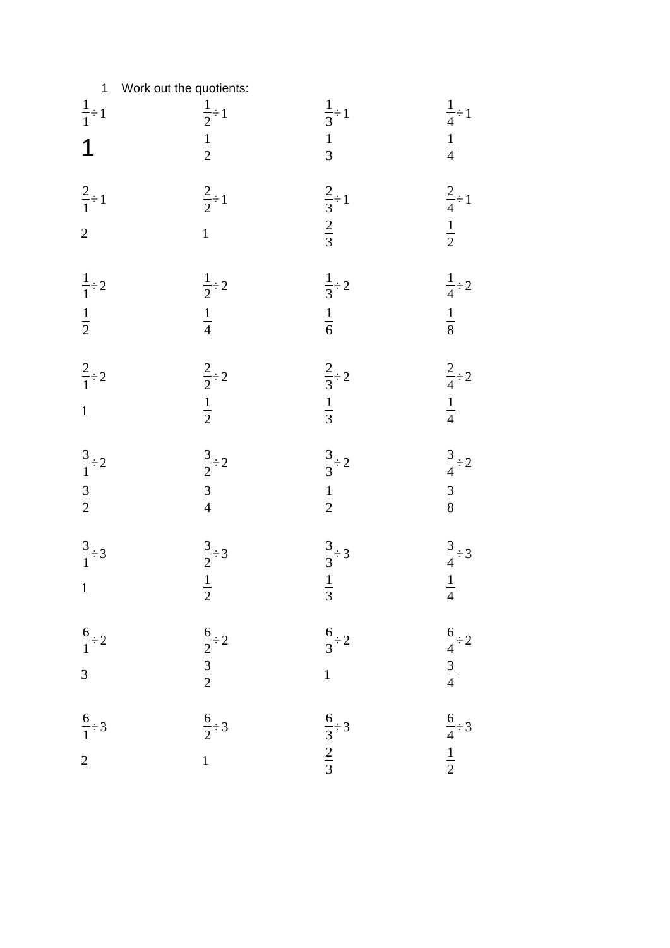| $\mathbf 1$                          | Work out the quotients:              |                                       |                                       |
|--------------------------------------|--------------------------------------|---------------------------------------|---------------------------------------|
| $\frac{1}{1}$ ÷ 1<br>$\mathbf 1$     | $\frac{1}{2} \div 1$ $\frac{1}{2}$   | $\frac{1}{3} \div 1$<br>$rac{1}{3}$   | $\frac{1}{4} \div 1$<br>$rac{1}{4}$   |
| $\frac{2}{1}$ ÷ 1<br>$\overline{a}$  | $\frac{2}{2} \div 1$<br>$\mathbf{1}$ | $\frac{2}{3} \div 1$ $\frac{2}{3}$    | $\frac{2}{4} \div 1$ $\frac{1}{2}$    |
| $\frac{1}{1}$ ÷ 2<br>$\frac{1}{2}$   | $\frac{1}{2} \div 2$<br>$rac{1}{4}$  | $\frac{1}{3} \div 2$<br>$\frac{1}{6}$ | $\frac{1}{4} \div 2$<br>$\frac{1}{8}$ |
| $\frac{2}{1}$ ÷ 2<br>$\overline{1}$  | $\frac{2}{2} \div 2$ $\frac{1}{2}$   | $\frac{2}{3} \div 2$ $\frac{1}{3}$    | $\frac{2}{4} \div 2$ $\frac{1}{4}$    |
| $\frac{3}{1}$ ÷ 2<br>$rac{3}{2}$     | $\frac{3}{2} \div 2$ $\frac{3}{4}$   | $\frac{3}{3} \div 2$<br>$rac{1}{2}$   | $\frac{3}{4} \div 2$ $\frac{3}{8}$    |
| $\frac{3}{1} \div 3$<br>$\mathbf{1}$ | $\frac{3}{2} \div 3$ $\frac{1}{2}$   | $\frac{3}{3} \div 3$ $\frac{1}{3}$    | $\frac{3}{4} \div 3$ $\frac{1}{4}$    |
| $\frac{6}{1}$ ÷ 2<br>$\overline{3}$  | $\frac{6}{2} \div 2$ $\frac{3}{2}$   | $\frac{6}{3}$ ÷ 2<br>$\overline{1}$   | $\frac{6}{4} \div 2$ $\frac{3}{4}$    |
| $\frac{6}{1}$ ÷ 3<br>$\overline{2}$  | $\frac{6}{2}$ ÷ 3<br>$\overline{1}$  | $\frac{6}{3} \div 3$ $\frac{2}{3}$    | $\frac{6}{4} \div 3$ $\frac{1}{2}$    |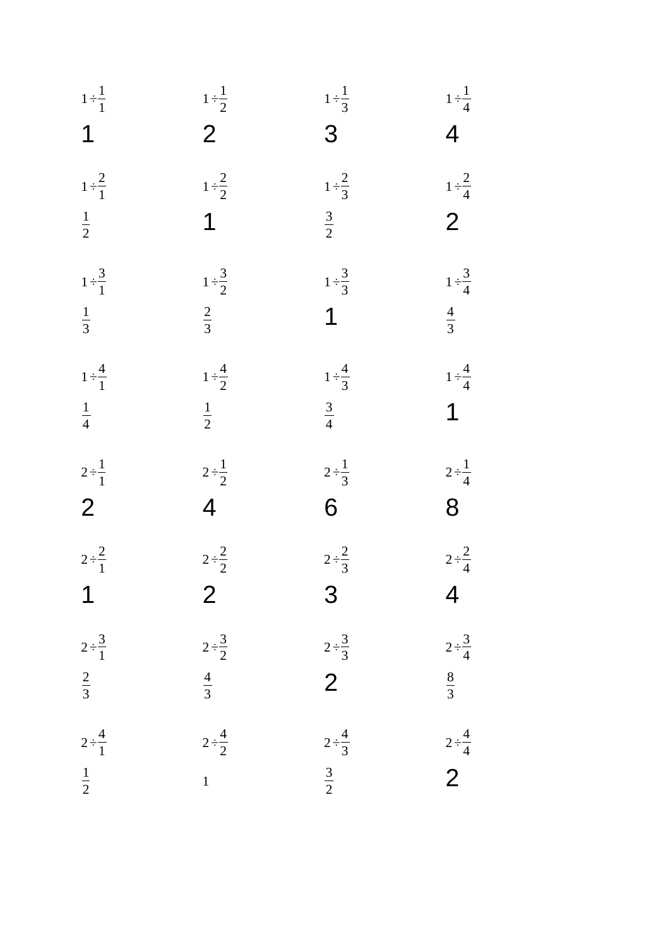| $1 \div \frac{1}{1}$ | $1\div\frac{1}{2}$   | $1 \div \frac{1}{3}$ | $1 \div \frac{1}{4}$ |
|----------------------|----------------------|----------------------|----------------------|
| 1                    | $\overline{2}$       | 3                    | $\overline{4}$       |
| $1 \div \frac{2}{1}$ | $1 \div \frac{2}{2}$ | $1 \div \frac{2}{3}$ | $1 \div \frac{2}{4}$ |
| $rac{1}{2}$          | $\mathbf{1}$         | $rac{3}{2}$          | $\overline{2}$       |
| $1\div\frac{3}{1}$   | $1\div\frac{3}{2}$   | $1 \div \frac{3}{3}$ | $1 \div \frac{3}{4}$ |
| $rac{1}{3}$          | $rac{2}{3}$          | $\mathbf{1}$         | $\frac{4}{3}$        |
| $1 \div \frac{4}{1}$ | $1 \div \frac{4}{2}$ | $1 \div \frac{4}{3}$ | $1 \div \frac{4}{4}$ |
| $rac{1}{4}$          | $\frac{1}{2}$        | $\frac{3}{4}$        | $\overline{1}$       |
| $2 \div \frac{1}{1}$ | $2 \div \frac{1}{2}$ | $2 \div \frac{1}{3}$ | $2 \div \frac{1}{4}$ |
| $\overline{2}$       | $\overline{4}$       | 6                    | 8                    |
| $2 \div \frac{2}{1}$ | $2 \div \frac{2}{2}$ | $2 \div \frac{2}{3}$ | $2 \div \frac{2}{4}$ |
| $1\overline{1}$      | $\overline{2}$       | 3                    | $\overline{4}$       |
| $2 \div \frac{3}{1}$ | $2 \div \frac{3}{2}$ | $2 \div \frac{3}{3}$ | $2 \div \frac{3}{4}$ |
| $rac{2}{3}$          | $\frac{4}{3}$        | $\overline{2}$       | $\frac{8}{3}$        |
| $2 \div \frac{4}{1}$ | $2 \div \frac{4}{2}$ | $2 \div \frac{4}{3}$ | $2 \div \frac{4}{4}$ |
| $\frac{1}{2}$        | $\mathbf{1}$         | $rac{3}{2}$          | $\overline{c}$       |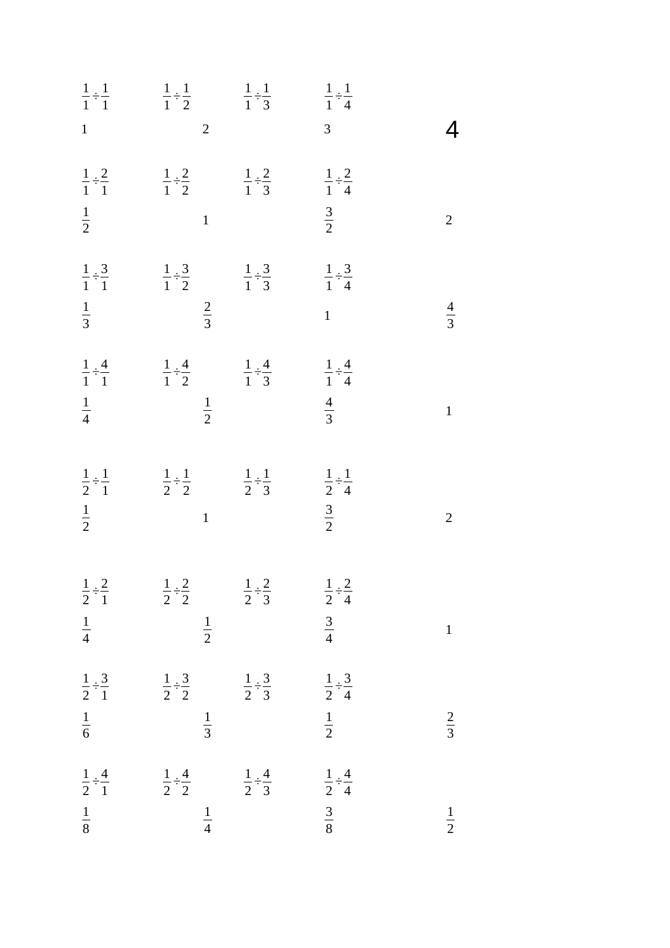| $\frac{1}{1} \div \frac{1}{1}$ $\frac{1}{1} \div \frac{1}{2}$ $\frac{1}{1} \div \frac{1}{3}$<br>$\frac{1}{1} \div \frac{1}{4}$<br>$\overline{3}$<br>4 | $rac{1}{1} \div \frac{2}{4}$<br>$rac{3}{2}$<br>$\overline{2}$                   | $\frac{1}{1} \div \frac{3}{4}$<br>$\frac{4}{3}$<br>$\overline{1}$            | $rac{1}{1} \div \frac{4}{4}$<br>$rac{4}{3}$<br>$\mathbf{1}$                  | $rac{1}{2} \div \frac{1}{4}$<br>$rac{3}{2}$<br>$\overline{2}$                   | $\frac{1}{2} \div \frac{2}{4}$<br>$\frac{3}{4}$<br>$\mathbf{1}$ |                                                 | $rac{1}{2} \div \frac{3}{4}$<br>$\frac{1}{2}$<br>$rac{2}{3}$ |
|-------------------------------------------------------------------------------------------------------------------------------------------------------|---------------------------------------------------------------------------------|------------------------------------------------------------------------------|------------------------------------------------------------------------------|---------------------------------------------------------------------------------|-----------------------------------------------------------------|-------------------------------------------------|--------------------------------------------------------------|
|                                                                                                                                                       |                                                                                 |                                                                              |                                                                              |                                                                                 |                                                                 |                                                 |                                                              |
|                                                                                                                                                       |                                                                                 |                                                                              |                                                                              |                                                                                 |                                                                 | $rac{1}{2} \div \frac{2}{3}$                    | $rac{1}{2} \div \frac{3}{3}$                                 |
|                                                                                                                                                       | $\frac{1}{1} \div \frac{2}{2}$ $\frac{1}{1} \div \frac{2}{3}$<br>$\overline{1}$ | $\frac{1}{1} \div \frac{3}{2}$ $\frac{1}{1} \div \frac{3}{3}$<br>$rac{2}{3}$ | $\frac{1}{1} \div \frac{4}{2}$ $\frac{1}{1} \div \frac{4}{3}$<br>$rac{1}{2}$ | $\frac{1}{2} \div \frac{1}{2}$ $\frac{1}{2} \div \frac{1}{3}$<br>$\overline{1}$ |                                                                 | $rac{1}{2} \div \frac{2}{2}$<br>$\frac{1}{2}$   | $rac{1}{2} \div \frac{3}{2}$<br>$rac{1}{3}$                  |
|                                                                                                                                                       | $\frac{1}{1} \div \frac{2}{1}$<br>$\frac{1}{2}$                                 | $\frac{1}{1} \div \frac{3}{1}$<br>$\frac{1}{3}$                              | $\frac{1}{1} \div \frac{4}{1}$<br>$\frac{1}{4}$                              | $\frac{1}{2} \div \frac{1}{1}$<br>$\frac{1}{2}$                                 |                                                                 | $\frac{1}{2} \div \frac{2}{1}$<br>$\frac{1}{4}$ | $\frac{1}{2} \div \frac{3}{1}$<br>$\frac{1}{6}$              |